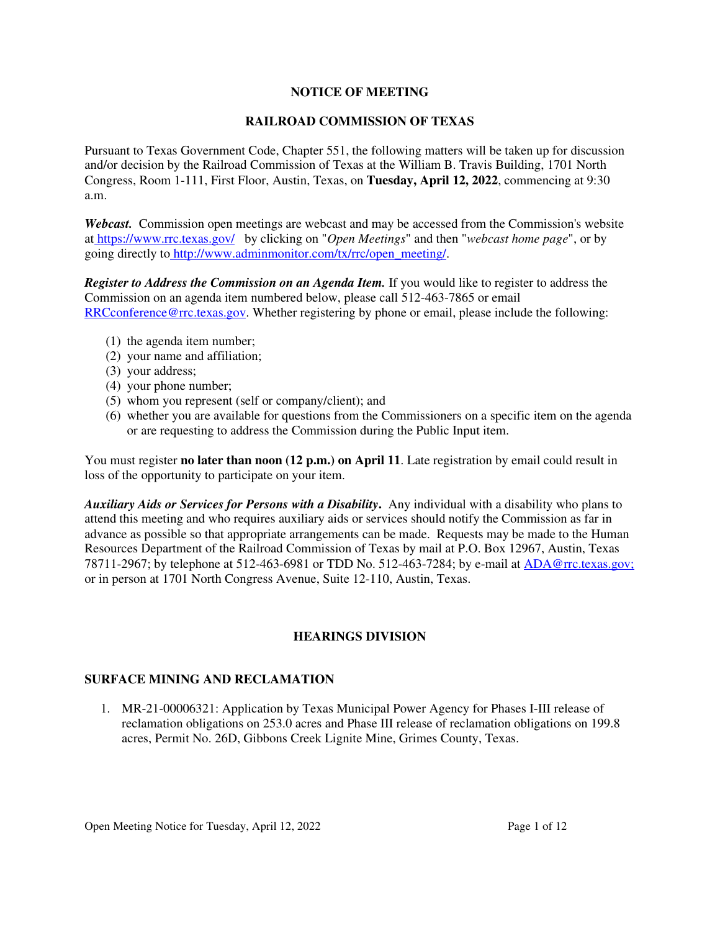# **NOTICE OF MEETING**

# **RAILROAD COMMISSION OF TEXAS**

Pursuant to Texas Government Code, Chapter 551, the following matters will be taken up for discussion and/or decision by the Railroad Commission of Texas at the William B. Travis Building, 1701 North Congress, Room 1-111, First Floor, Austin, Texas, on **Tuesday, April 12, 2022**, commencing at 9:30 a.m.

*Webcast.* Commission open meetings are webcast and may be accessed from the Commission's website at https://www.rrc.texas.gov/ by clicking on "*Open Meetings*" and then "*webcast home page*", or by going directly to http://www.adminmonitor.com/tx/rrc/open\_meeting/.

*Register to Address the Commission on an Agenda Item.* If you would like to register to address the Commission on an agenda item numbered below, please call 512-463-7865 or email RRCconference@rrc.texas.gov. Whether registering by phone or email, please include the following:

- (1) the agenda item number;
- (2) your name and affiliation;
- (3) your address;
- (4) your phone number;
- (5) whom you represent (self or company/client); and
- (6) whether you are available for questions from the Commissioners on a specific item on the agenda or are requesting to address the Commission during the Public Input item.

You must register **no later than noon (12 p.m.) on April 11**. Late registration by email could result in loss of the opportunity to participate on your item.

*Auxiliary Aids or Services for Persons with a Disability***.** Any individual with a disability who plans to attend this meeting and who requires auxiliary aids or services should notify the Commission as far in advance as possible so that appropriate arrangements can be made. Requests may be made to the Human Resources Department of the Railroad Commission of Texas by mail at P.O. Box 12967, Austin, Texas 78711-2967; by telephone at 512-463-6981 or TDD No. 512-463-7284; by e-mail at ADA@rrc.texas.gov; or in person at 1701 North Congress Avenue, Suite 12-110, Austin, Texas.

# **HEARINGS DIVISION**

## **SURFACE MINING AND RECLAMATION**

1. MR-21-00006321: Application by Texas Municipal Power Agency for Phases I-III release of reclamation obligations on 253.0 acres and Phase III release of reclamation obligations on 199.8 acres, Permit No. 26D, Gibbons Creek Lignite Mine, Grimes County, Texas.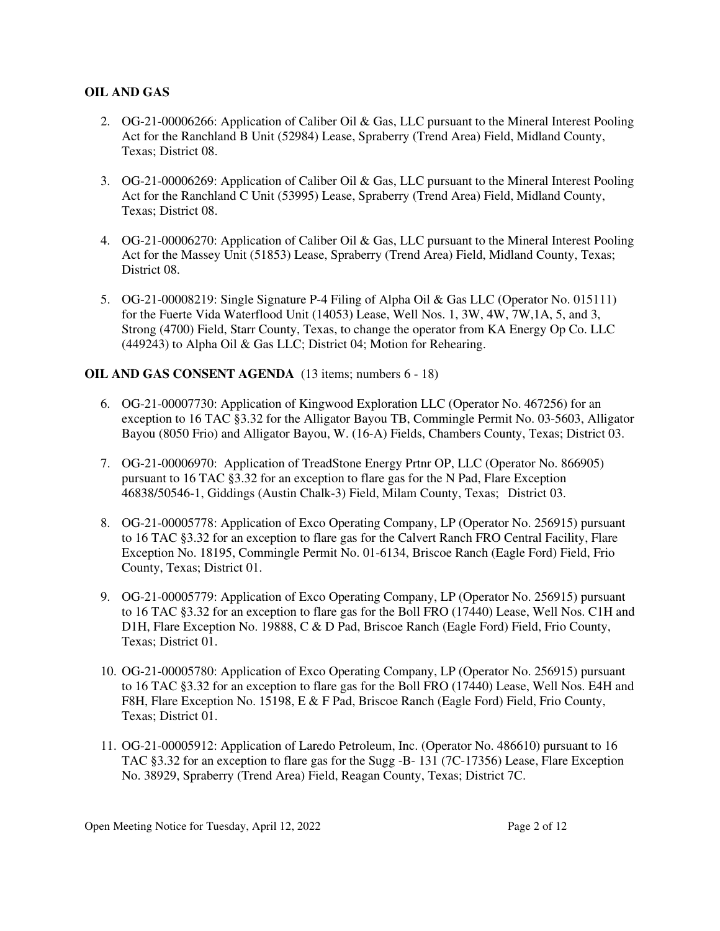# **OIL AND GAS**

- 2. OG-21-00006266: Application of Caliber Oil & Gas, LLC pursuant to the Mineral Interest Pooling Act for the Ranchland B Unit (52984) Lease, Spraberry (Trend Area) Field, Midland County, Texas; District 08.
- 3. OG-21-00006269: Application of Caliber Oil & Gas, LLC pursuant to the Mineral Interest Pooling Act for the Ranchland C Unit (53995) Lease, Spraberry (Trend Area) Field, Midland County, Texas; District 08.
- 4. OG-21-00006270: Application of Caliber Oil & Gas, LLC pursuant to the Mineral Interest Pooling Act for the Massey Unit (51853) Lease, Spraberry (Trend Area) Field, Midland County, Texas; District 08.
- 5. OG-21-00008219: Single Signature P-4 Filing of Alpha Oil & Gas LLC (Operator No. 015111) for the Fuerte Vida Waterflood Unit (14053) Lease, Well Nos. 1, 3W, 4W, 7W,1A, 5, and 3, Strong (4700) Field, Starr County, Texas, to change the operator from KA Energy Op Co. LLC (449243) to Alpha Oil & Gas LLC; District 04; Motion for Rehearing.

# **OIL AND GAS CONSENT AGENDA** (13 items; numbers 6 - 18)

- 6. OG-21-00007730: Application of Kingwood Exploration LLC (Operator No. 467256) for an exception to 16 TAC §3.32 for the Alligator Bayou TB, Commingle Permit No. 03-5603, Alligator Bayou (8050 Frio) and Alligator Bayou, W. (16-A) Fields, Chambers County, Texas; District 03.
- 7. OG-21-00006970: Application of TreadStone Energy Prtnr OP, LLC (Operator No. 866905) pursuant to 16 TAC §3.32 for an exception to flare gas for the N Pad, Flare Exception 46838/50546-1, Giddings (Austin Chalk-3) Field, Milam County, Texas; District 03.
- 8. OG-21-00005778: Application of Exco Operating Company, LP (Operator No. 256915) pursuant to 16 TAC §3.32 for an exception to flare gas for the Calvert Ranch FRO Central Facility, Flare Exception No. 18195, Commingle Permit No. 01-6134, Briscoe Ranch (Eagle Ford) Field, Frio County, Texas; District 01.
- 9. OG-21-00005779: Application of Exco Operating Company, LP (Operator No. 256915) pursuant to 16 TAC §3.32 for an exception to flare gas for the Boll FRO (17440) Lease, Well Nos. C1H and D1H, Flare Exception No. 19888, C & D Pad, Briscoe Ranch (Eagle Ford) Field, Frio County, Texas; District 01.
- 10. OG-21-00005780: Application of Exco Operating Company, LP (Operator No. 256915) pursuant to 16 TAC §3.32 for an exception to flare gas for the Boll FRO (17440) Lease, Well Nos. E4H and F8H, Flare Exception No. 15198, E & F Pad, Briscoe Ranch (Eagle Ford) Field, Frio County, Texas; District 01.
- 11. OG-21-00005912: Application of Laredo Petroleum, Inc. (Operator No. 486610) pursuant to 16 TAC §3.32 for an exception to flare gas for the Sugg -B- 131 (7C-17356) Lease, Flare Exception No. 38929, Spraberry (Trend Area) Field, Reagan County, Texas; District 7C.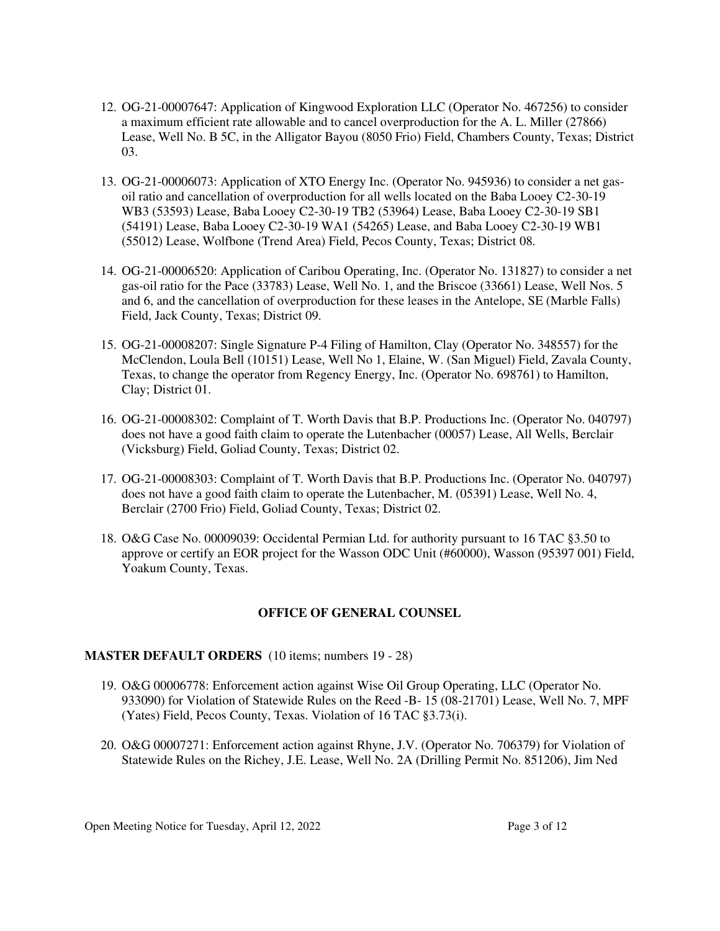- 12. OG-21-00007647: Application of Kingwood Exploration LLC (Operator No. 467256) to consider a maximum efficient rate allowable and to cancel overproduction for the A. L. Miller (27866) Lease, Well No. B 5C, in the Alligator Bayou (8050 Frio) Field, Chambers County, Texas; District 03.
- 13. OG-21-00006073: Application of XTO Energy Inc. (Operator No. 945936) to consider a net gasoil ratio and cancellation of overproduction for all wells located on the Baba Looey C2-30-19 WB3 (53593) Lease, Baba Looey C2-30-19 TB2 (53964) Lease, Baba Looey C2-30-19 SB1 (54191) Lease, Baba Looey C2-30-19 WA1 (54265) Lease, and Baba Looey C2-30-19 WB1 (55012) Lease, Wolfbone (Trend Area) Field, Pecos County, Texas; District 08.
- 14. OG-21-00006520: Application of Caribou Operating, Inc. (Operator No. 131827) to consider a net gas-oil ratio for the Pace (33783) Lease, Well No. 1, and the Briscoe (33661) Lease, Well Nos. 5 and 6, and the cancellation of overproduction for these leases in the Antelope, SE (Marble Falls) Field, Jack County, Texas; District 09.
- 15. OG-21-00008207: Single Signature P-4 Filing of Hamilton, Clay (Operator No. 348557) for the McClendon, Loula Bell (10151) Lease, Well No 1, Elaine, W. (San Miguel) Field, Zavala County, Texas, to change the operator from Regency Energy, Inc. (Operator No. 698761) to Hamilton, Clay; District 01.
- 16. OG-21-00008302: Complaint of T. Worth Davis that B.P. Productions Inc. (Operator No. 040797) does not have a good faith claim to operate the Lutenbacher (00057) Lease, All Wells, Berclair (Vicksburg) Field, Goliad County, Texas; District 02.
- 17. OG-21-00008303: Complaint of T. Worth Davis that B.P. Productions Inc. (Operator No. 040797) does not have a good faith claim to operate the Lutenbacher, M. (05391) Lease, Well No. 4, Berclair (2700 Frio) Field, Goliad County, Texas; District 02.
- 18. O&G Case No. 00009039: Occidental Permian Ltd. for authority pursuant to 16 TAC §3.50 to approve or certify an EOR project for the Wasson ODC Unit (#60000), Wasson (95397 001) Field, Yoakum County, Texas.

## **OFFICE OF GENERAL COUNSEL**

#### **MASTER DEFAULT ORDERS** (10 items; numbers 19 - 28)

- 19. O&G 00006778: Enforcement action against Wise Oil Group Operating, LLC (Operator No. 933090) for Violation of Statewide Rules on the Reed -B- 15 (08-21701) Lease, Well No. 7, MPF (Yates) Field, Pecos County, Texas. Violation of 16 TAC §3.73(i).
- 20. O&G 00007271: Enforcement action against Rhyne, J.V. (Operator No. 706379) for Violation of Statewide Rules on the Richey, J.E. Lease, Well No. 2A (Drilling Permit No. 851206), Jim Ned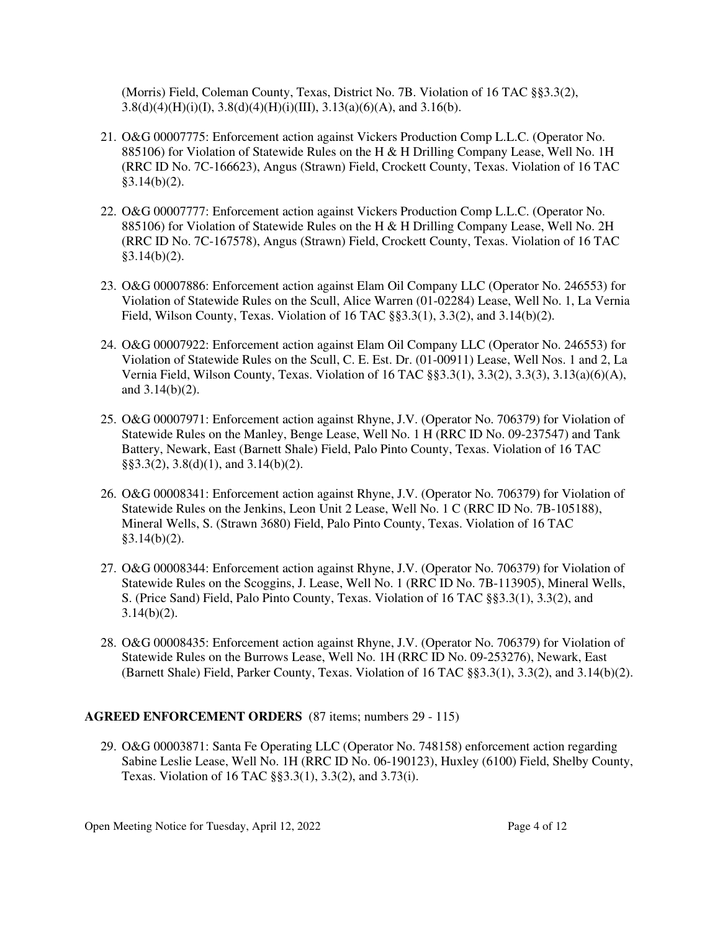(Morris) Field, Coleman County, Texas, District No. 7B. Violation of 16 TAC §§3.3(2),  $3.8(d)(4)(H)(i)(I), 3.8(d)(4)(H)(i)(III), 3.13(a)(6)(A), and 3.16(b).$ 

- 21. O&G 00007775: Enforcement action against Vickers Production Comp L.L.C. (Operator No. 885106) for Violation of Statewide Rules on the H & H Drilling Company Lease, Well No. 1H (RRC ID No. 7C-166623), Angus (Strawn) Field, Crockett County, Texas. Violation of 16 TAC  $§3.14(b)(2)$ .
- 22. O&G 00007777: Enforcement action against Vickers Production Comp L.L.C. (Operator No. 885106) for Violation of Statewide Rules on the H & H Drilling Company Lease, Well No. 2H (RRC ID No. 7C-167578), Angus (Strawn) Field, Crockett County, Texas. Violation of 16 TAC  $§3.14(b)(2)$ .
- 23. O&G 00007886: Enforcement action against Elam Oil Company LLC (Operator No. 246553) for Violation of Statewide Rules on the Scull, Alice Warren (01-02284) Lease, Well No. 1, La Vernia Field, Wilson County, Texas. Violation of 16 TAC §§3.3(1), 3.3(2), and 3.14(b)(2).
- 24. O&G 00007922: Enforcement action against Elam Oil Company LLC (Operator No. 246553) for Violation of Statewide Rules on the Scull, C. E. Est. Dr. (01-00911) Lease, Well Nos. 1 and 2, La Vernia Field, Wilson County, Texas. Violation of 16 TAC §§3.3(1), 3.3(2), 3.3(3), 3.13(a)(6)(A), and 3.14(b)(2).
- 25. O&G 00007971: Enforcement action against Rhyne, J.V. (Operator No. 706379) for Violation of Statewide Rules on the Manley, Benge Lease, Well No. 1 H (RRC ID No. 09-237547) and Tank Battery, Newark, East (Barnett Shale) Field, Palo Pinto County, Texas. Violation of 16 TAC §§3.3(2), 3.8(d)(1), and 3.14(b)(2).
- 26. O&G 00008341: Enforcement action against Rhyne, J.V. (Operator No. 706379) for Violation of Statewide Rules on the Jenkins, Leon Unit 2 Lease, Well No. 1 C (RRC ID No. 7B-105188), Mineral Wells, S. (Strawn 3680) Field, Palo Pinto County, Texas. Violation of 16 TAC  $§3.14(b)(2)$ .
- 27. O&G 00008344: Enforcement action against Rhyne, J.V. (Operator No. 706379) for Violation of Statewide Rules on the Scoggins, J. Lease, Well No. 1 (RRC ID No. 7B-113905), Mineral Wells, S. (Price Sand) Field, Palo Pinto County, Texas. Violation of 16 TAC §§3.3(1), 3.3(2), and  $3.14(b)(2)$ .
- 28. O&G 00008435: Enforcement action against Rhyne, J.V. (Operator No. 706379) for Violation of Statewide Rules on the Burrows Lease, Well No. 1H (RRC ID No. 09-253276), Newark, East (Barnett Shale) Field, Parker County, Texas. Violation of 16 TAC §§3.3(1), 3.3(2), and 3.14(b)(2).

# **AGREED ENFORCEMENT ORDERS** (87 items; numbers 29 - 115)

29. O&G 00003871: Santa Fe Operating LLC (Operator No. 748158) enforcement action regarding Sabine Leslie Lease, Well No. 1H (RRC ID No. 06-190123), Huxley (6100) Field, Shelby County, Texas. Violation of 16 TAC §§3.3(1), 3.3(2), and 3.73(i).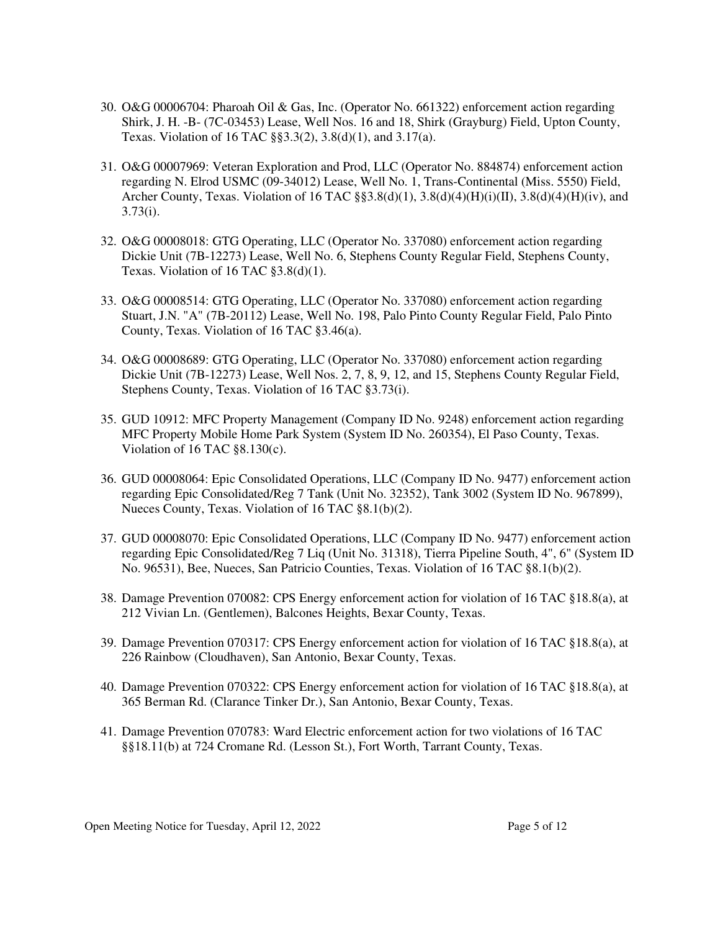- 30. O&G 00006704: Pharoah Oil & Gas, Inc. (Operator No. 661322) enforcement action regarding Shirk, J. H. -B- (7C-03453) Lease, Well Nos. 16 and 18, Shirk (Grayburg) Field, Upton County, Texas. Violation of 16 TAC §§3.3(2), 3.8(d)(1), and 3.17(a).
- 31. O&G 00007969: Veteran Exploration and Prod, LLC (Operator No. 884874) enforcement action regarding N. Elrod USMC (09-34012) Lease, Well No. 1, Trans-Continental (Miss. 5550) Field, Archer County, Texas. Violation of 16 TAC  $\S$ §3.8(d)(1), 3.8(d)(4)(H)(i)(II), 3.8(d)(4)(H)(iv), and 3.73(i).
- 32. O&G 00008018: GTG Operating, LLC (Operator No. 337080) enforcement action regarding Dickie Unit (7B-12273) Lease, Well No. 6, Stephens County Regular Field, Stephens County, Texas. Violation of 16 TAC §3.8(d)(1).
- 33. O&G 00008514: GTG Operating, LLC (Operator No. 337080) enforcement action regarding Stuart, J.N. "A" (7B-20112) Lease, Well No. 198, Palo Pinto County Regular Field, Palo Pinto County, Texas. Violation of 16 TAC §3.46(a).
- 34. O&G 00008689: GTG Operating, LLC (Operator No. 337080) enforcement action regarding Dickie Unit (7B-12273) Lease, Well Nos. 2, 7, 8, 9, 12, and 15, Stephens County Regular Field, Stephens County, Texas. Violation of 16 TAC §3.73(i).
- 35. GUD 10912: MFC Property Management (Company ID No. 9248) enforcement action regarding MFC Property Mobile Home Park System (System ID No. 260354), El Paso County, Texas. Violation of 16 TAC §8.130(c).
- 36. GUD 00008064: Epic Consolidated Operations, LLC (Company ID No. 9477) enforcement action regarding Epic Consolidated/Reg 7 Tank (Unit No. 32352), Tank 3002 (System ID No. 967899), Nueces County, Texas. Violation of 16 TAC §8.1(b)(2).
- 37. GUD 00008070: Epic Consolidated Operations, LLC (Company ID No. 9477) enforcement action regarding Epic Consolidated/Reg 7 Liq (Unit No. 31318), Tierra Pipeline South, 4", 6" (System ID No. 96531), Bee, Nueces, San Patricio Counties, Texas. Violation of 16 TAC §8.1(b)(2).
- 38. Damage Prevention 070082: CPS Energy enforcement action for violation of 16 TAC §18.8(a), at 212 Vivian Ln. (Gentlemen), Balcones Heights, Bexar County, Texas.
- 39. Damage Prevention 070317: CPS Energy enforcement action for violation of 16 TAC §18.8(a), at 226 Rainbow (Cloudhaven), San Antonio, Bexar County, Texas.
- 40. Damage Prevention 070322: CPS Energy enforcement action for violation of 16 TAC §18.8(a), at 365 Berman Rd. (Clarance Tinker Dr.), San Antonio, Bexar County, Texas.
- 41. Damage Prevention 070783: Ward Electric enforcement action for two violations of 16 TAC §§18.11(b) at 724 Cromane Rd. (Lesson St.), Fort Worth, Tarrant County, Texas.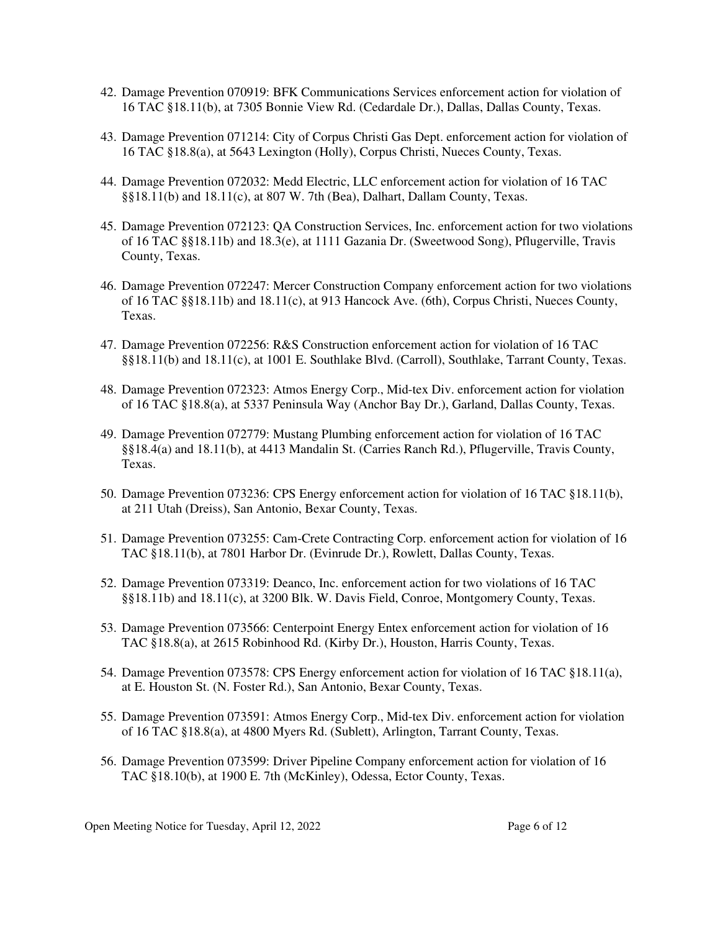- 42. Damage Prevention 070919: BFK Communications Services enforcement action for violation of 16 TAC §18.11(b), at 7305 Bonnie View Rd. (Cedardale Dr.), Dallas, Dallas County, Texas.
- 43. Damage Prevention 071214: City of Corpus Christi Gas Dept. enforcement action for violation of 16 TAC §18.8(a), at 5643 Lexington (Holly), Corpus Christi, Nueces County, Texas.
- 44. Damage Prevention 072032: Medd Electric, LLC enforcement action for violation of 16 TAC §§18.11(b) and 18.11(c), at 807 W. 7th (Bea), Dalhart, Dallam County, Texas.
- 45. Damage Prevention 072123: QA Construction Services, Inc. enforcement action for two violations of 16 TAC §§18.11b) and 18.3(e), at 1111 Gazania Dr. (Sweetwood Song), Pflugerville, Travis County, Texas.
- 46. Damage Prevention 072247: Mercer Construction Company enforcement action for two violations of 16 TAC §§18.11b) and 18.11(c), at 913 Hancock Ave. (6th), Corpus Christi, Nueces County, Texas.
- 47. Damage Prevention 072256: R&S Construction enforcement action for violation of 16 TAC §§18.11(b) and 18.11(c), at 1001 E. Southlake Blvd. (Carroll), Southlake, Tarrant County, Texas.
- 48. Damage Prevention 072323: Atmos Energy Corp., Mid-tex Div. enforcement action for violation of 16 TAC §18.8(a), at 5337 Peninsula Way (Anchor Bay Dr.), Garland, Dallas County, Texas.
- 49. Damage Prevention 072779: Mustang Plumbing enforcement action for violation of 16 TAC §§18.4(a) and 18.11(b), at 4413 Mandalin St. (Carries Ranch Rd.), Pflugerville, Travis County, Texas.
- 50. Damage Prevention 073236: CPS Energy enforcement action for violation of 16 TAC §18.11(b), at 211 Utah (Dreiss), San Antonio, Bexar County, Texas.
- 51. Damage Prevention 073255: Cam-Crete Contracting Corp. enforcement action for violation of 16 TAC §18.11(b), at 7801 Harbor Dr. (Evinrude Dr.), Rowlett, Dallas County, Texas.
- 52. Damage Prevention 073319: Deanco, Inc. enforcement action for two violations of 16 TAC §§18.11b) and 18.11(c), at 3200 Blk. W. Davis Field, Conroe, Montgomery County, Texas.
- 53. Damage Prevention 073566: Centerpoint Energy Entex enforcement action for violation of 16 TAC §18.8(a), at 2615 Robinhood Rd. (Kirby Dr.), Houston, Harris County, Texas.
- 54. Damage Prevention 073578: CPS Energy enforcement action for violation of 16 TAC §18.11(a), at E. Houston St. (N. Foster Rd.), San Antonio, Bexar County, Texas.
- 55. Damage Prevention 073591: Atmos Energy Corp., Mid-tex Div. enforcement action for violation of 16 TAC §18.8(a), at 4800 Myers Rd. (Sublett), Arlington, Tarrant County, Texas.
- 56. Damage Prevention 073599: Driver Pipeline Company enforcement action for violation of 16 TAC §18.10(b), at 1900 E. 7th (McKinley), Odessa, Ector County, Texas.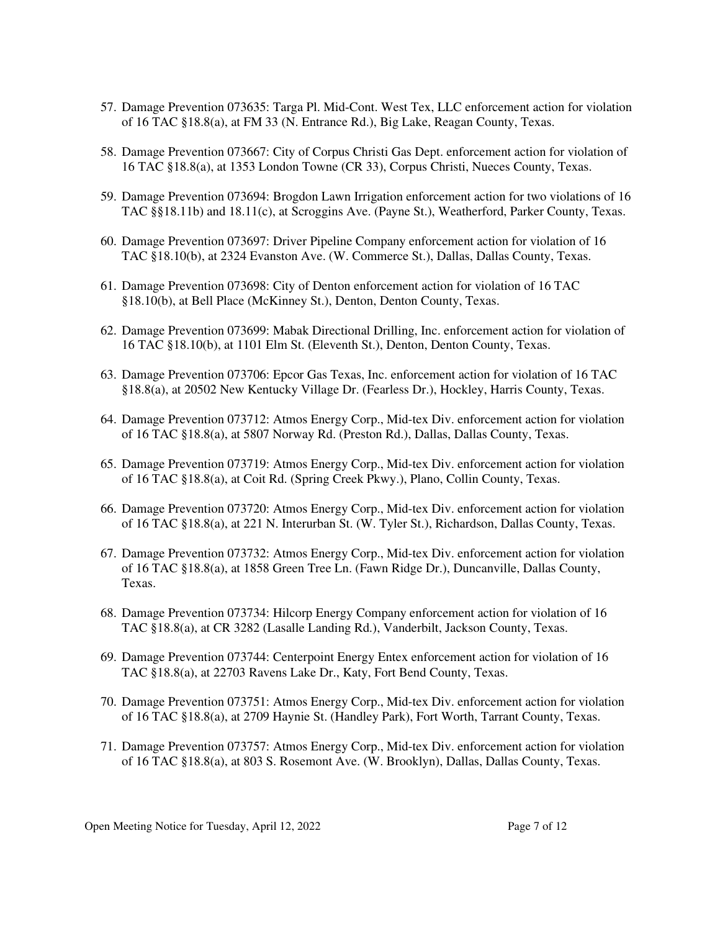- 57. Damage Prevention 073635: Targa Pl. Mid-Cont. West Tex, LLC enforcement action for violation of 16 TAC §18.8(a), at FM 33 (N. Entrance Rd.), Big Lake, Reagan County, Texas.
- 58. Damage Prevention 073667: City of Corpus Christi Gas Dept. enforcement action for violation of 16 TAC §18.8(a), at 1353 London Towne (CR 33), Corpus Christi, Nueces County, Texas.
- 59. Damage Prevention 073694: Brogdon Lawn Irrigation enforcement action for two violations of 16 TAC §§18.11b) and 18.11(c), at Scroggins Ave. (Payne St.), Weatherford, Parker County, Texas.
- 60. Damage Prevention 073697: Driver Pipeline Company enforcement action for violation of 16 TAC §18.10(b), at 2324 Evanston Ave. (W. Commerce St.), Dallas, Dallas County, Texas.
- 61. Damage Prevention 073698: City of Denton enforcement action for violation of 16 TAC §18.10(b), at Bell Place (McKinney St.), Denton, Denton County, Texas.
- 62. Damage Prevention 073699: Mabak Directional Drilling, Inc. enforcement action for violation of 16 TAC §18.10(b), at 1101 Elm St. (Eleventh St.), Denton, Denton County, Texas.
- 63. Damage Prevention 073706: Epcor Gas Texas, Inc. enforcement action for violation of 16 TAC §18.8(a), at 20502 New Kentucky Village Dr. (Fearless Dr.), Hockley, Harris County, Texas.
- 64. Damage Prevention 073712: Atmos Energy Corp., Mid-tex Div. enforcement action for violation of 16 TAC §18.8(a), at 5807 Norway Rd. (Preston Rd.), Dallas, Dallas County, Texas.
- 65. Damage Prevention 073719: Atmos Energy Corp., Mid-tex Div. enforcement action for violation of 16 TAC §18.8(a), at Coit Rd. (Spring Creek Pkwy.), Plano, Collin County, Texas.
- 66. Damage Prevention 073720: Atmos Energy Corp., Mid-tex Div. enforcement action for violation of 16 TAC §18.8(a), at 221 N. Interurban St. (W. Tyler St.), Richardson, Dallas County, Texas.
- 67. Damage Prevention 073732: Atmos Energy Corp., Mid-tex Div. enforcement action for violation of 16 TAC §18.8(a), at 1858 Green Tree Ln. (Fawn Ridge Dr.), Duncanville, Dallas County, Texas.
- 68. Damage Prevention 073734: Hilcorp Energy Company enforcement action for violation of 16 TAC §18.8(a), at CR 3282 (Lasalle Landing Rd.), Vanderbilt, Jackson County, Texas.
- 69. Damage Prevention 073744: Centerpoint Energy Entex enforcement action for violation of 16 TAC §18.8(a), at 22703 Ravens Lake Dr., Katy, Fort Bend County, Texas.
- 70. Damage Prevention 073751: Atmos Energy Corp., Mid-tex Div. enforcement action for violation of 16 TAC §18.8(a), at 2709 Haynie St. (Handley Park), Fort Worth, Tarrant County, Texas.
- 71. Damage Prevention 073757: Atmos Energy Corp., Mid-tex Div. enforcement action for violation of 16 TAC §18.8(a), at 803 S. Rosemont Ave. (W. Brooklyn), Dallas, Dallas County, Texas.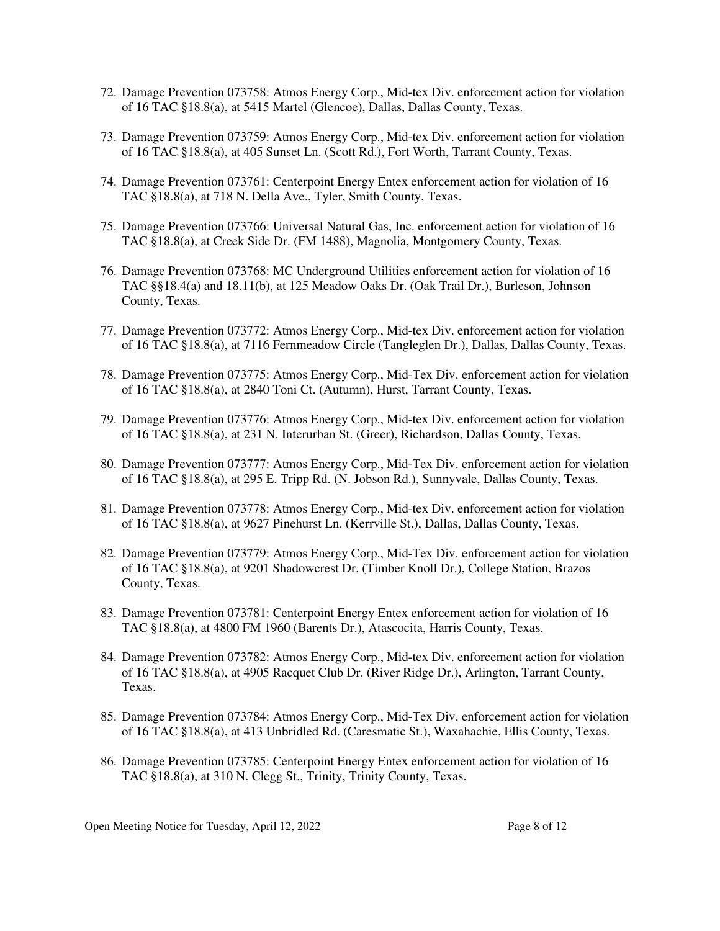- 72. Damage Prevention 073758: Atmos Energy Corp., Mid-tex Div. enforcement action for violation of 16 TAC §18.8(a), at 5415 Martel (Glencoe), Dallas, Dallas County, Texas.
- 73. Damage Prevention 073759: Atmos Energy Corp., Mid-tex Div. enforcement action for violation of 16 TAC §18.8(a), at 405 Sunset Ln. (Scott Rd.), Fort Worth, Tarrant County, Texas.
- 74. Damage Prevention 073761: Centerpoint Energy Entex enforcement action for violation of 16 TAC §18.8(a), at 718 N. Della Ave., Tyler, Smith County, Texas.
- 75. Damage Prevention 073766: Universal Natural Gas, Inc. enforcement action for violation of 16 TAC §18.8(a), at Creek Side Dr. (FM 1488), Magnolia, Montgomery County, Texas.
- 76. Damage Prevention 073768: MC Underground Utilities enforcement action for violation of 16 TAC §§18.4(a) and 18.11(b), at 125 Meadow Oaks Dr. (Oak Trail Dr.), Burleson, Johnson County, Texas.
- 77. Damage Prevention 073772: Atmos Energy Corp., Mid-tex Div. enforcement action for violation of 16 TAC §18.8(a), at 7116 Fernmeadow Circle (Tangleglen Dr.), Dallas, Dallas County, Texas.
- 78. Damage Prevention 073775: Atmos Energy Corp., Mid-Tex Div. enforcement action for violation of 16 TAC §18.8(a), at 2840 Toni Ct. (Autumn), Hurst, Tarrant County, Texas.
- 79. Damage Prevention 073776: Atmos Energy Corp., Mid-tex Div. enforcement action for violation of 16 TAC §18.8(a), at 231 N. Interurban St. (Greer), Richardson, Dallas County, Texas.
- 80. Damage Prevention 073777: Atmos Energy Corp., Mid-Tex Div. enforcement action for violation of 16 TAC §18.8(a), at 295 E. Tripp Rd. (N. Jobson Rd.), Sunnyvale, Dallas County, Texas.
- 81. Damage Prevention 073778: Atmos Energy Corp., Mid-tex Div. enforcement action for violation of 16 TAC §18.8(a), at 9627 Pinehurst Ln. (Kerrville St.), Dallas, Dallas County, Texas.
- 82. Damage Prevention 073779: Atmos Energy Corp., Mid-Tex Div. enforcement action for violation of 16 TAC §18.8(a), at 9201 Shadowcrest Dr. (Timber Knoll Dr.), College Station, Brazos County, Texas.
- 83. Damage Prevention 073781: Centerpoint Energy Entex enforcement action for violation of 16 TAC §18.8(a), at 4800 FM 1960 (Barents Dr.), Atascocita, Harris County, Texas.
- 84. Damage Prevention 073782: Atmos Energy Corp., Mid-tex Div. enforcement action for violation of 16 TAC §18.8(a), at 4905 Racquet Club Dr. (River Ridge Dr.), Arlington, Tarrant County, Texas.
- 85. Damage Prevention 073784: Atmos Energy Corp., Mid-Tex Div. enforcement action for violation of 16 TAC §18.8(a), at 413 Unbridled Rd. (Caresmatic St.), Waxahachie, Ellis County, Texas.
- 86. Damage Prevention 073785: Centerpoint Energy Entex enforcement action for violation of 16 TAC §18.8(a), at 310 N. Clegg St., Trinity, Trinity County, Texas.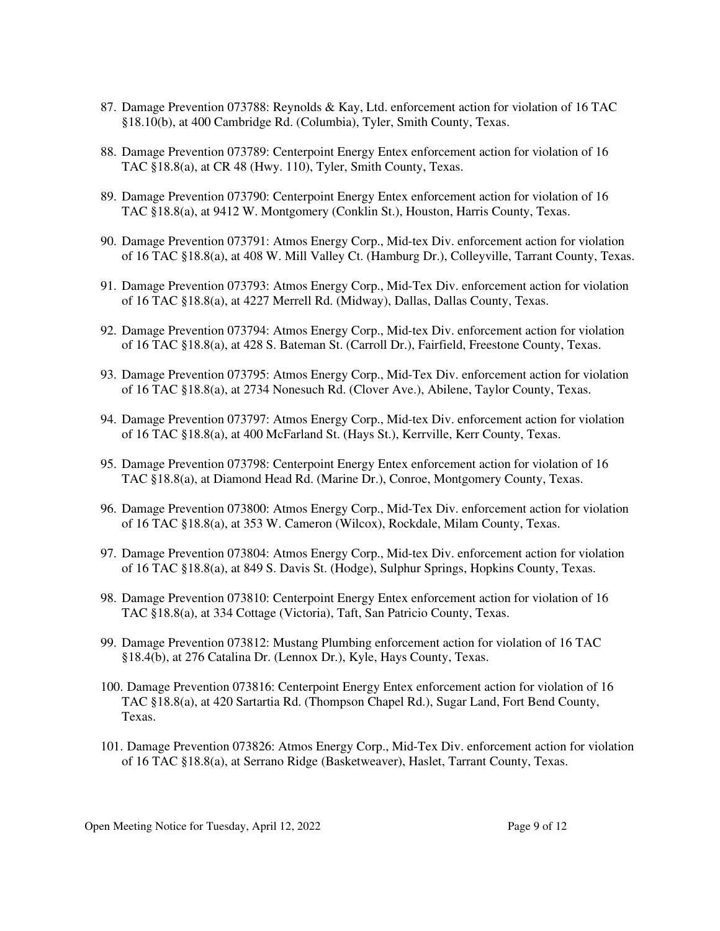- 87. Damage Prevention 073788: Reynolds & Kay, Ltd. enforcement action for violation of 16 TAC §18.10(b), at 400 Cambridge Rd. (Columbia), Tyler, Smith County, Texas.
- 88. Damage Prevention 073789: Centerpoint Energy Entex enforcement action for violation of 16 TAC §18.8(a), at CR 48 (Hwy. 110), Tyler, Smith County, Texas.
- 89. Damage Prevention 073790: Centerpoint Energy Entex enforcement action for violation of 16 TAC §18.8(a), at 9412 W. Montgomery (Conklin St.), Houston, Harris County, Texas.
- 90. Damage Prevention 073791: Atmos Energy Corp., Mid-tex Div. enforcement action for violation of 16 TAC §18.8(a), at 408 W. Mill Valley Ct. (Hamburg Dr.), Colleyville, Tarrant County, Texas.
- 91. Damage Prevention 073793: Atmos Energy Corp., Mid-Tex Div. enforcement action for violation of 16 TAC §18.8(a), at 4227 Merrell Rd. (Midway), Dallas, Dallas County, Texas.
- 92. Damage Prevention 073794: Atmos Energy Corp., Mid-tex Div. enforcement action for violation of 16 TAC §18.8(a), at 428 S. Bateman St. (Carroll Dr.), Fairfield, Freestone County, Texas.
- 93. Damage Prevention 073795: Atmos Energy Corp., Mid-Tex Div. enforcement action for violation of 16 TAC §18.8(a), at 2734 Nonesuch Rd. (Clover Ave.), Abilene, Taylor County, Texas.
- 94. Damage Prevention 073797: Atmos Energy Corp., Mid-tex Div. enforcement action for violation of 16 TAC §18.8(a), at 400 McFarland St. (Hays St.), Kerrville, Kerr County, Texas.
- 95. Damage Prevention 073798: Centerpoint Energy Entex enforcement action for violation of 16 TAC §18.8(a), at Diamond Head Rd. (Marine Dr.), Conroe, Montgomery County, Texas.
- 96. Damage Prevention 073800: Atmos Energy Corp., Mid-Tex Div. enforcement action for violation of 16 TAC §18.8(a), at 353 W. Cameron (Wilcox), Rockdale, Milam County, Texas.
- 97. Damage Prevention 073804: Atmos Energy Corp., Mid-tex Div. enforcement action for violation of 16 TAC §18.8(a), at 849 S. Davis St. (Hodge), Sulphur Springs, Hopkins County, Texas.
- 98. Damage Prevention 073810: Centerpoint Energy Entex enforcement action for violation of 16 TAC §18.8(a), at 334 Cottage (Victoria), Taft, San Patricio County, Texas.
- 99. Damage Prevention 073812: Mustang Plumbing enforcement action for violation of 16 TAC §18.4(b), at 276 Catalina Dr. (Lennox Dr.), Kyle, Hays County, Texas.
- 100. Damage Prevention 073816: Centerpoint Energy Entex enforcement action for violation of 16 TAC §18.8(a), at 420 Sartartia Rd. (Thompson Chapel Rd.), Sugar Land, Fort Bend County, Texas.
- 101. Damage Prevention 073826: Atmos Energy Corp., Mid-Tex Div. enforcement action for violation of 16 TAC §18.8(a), at Serrano Ridge (Basketweaver), Haslet, Tarrant County, Texas.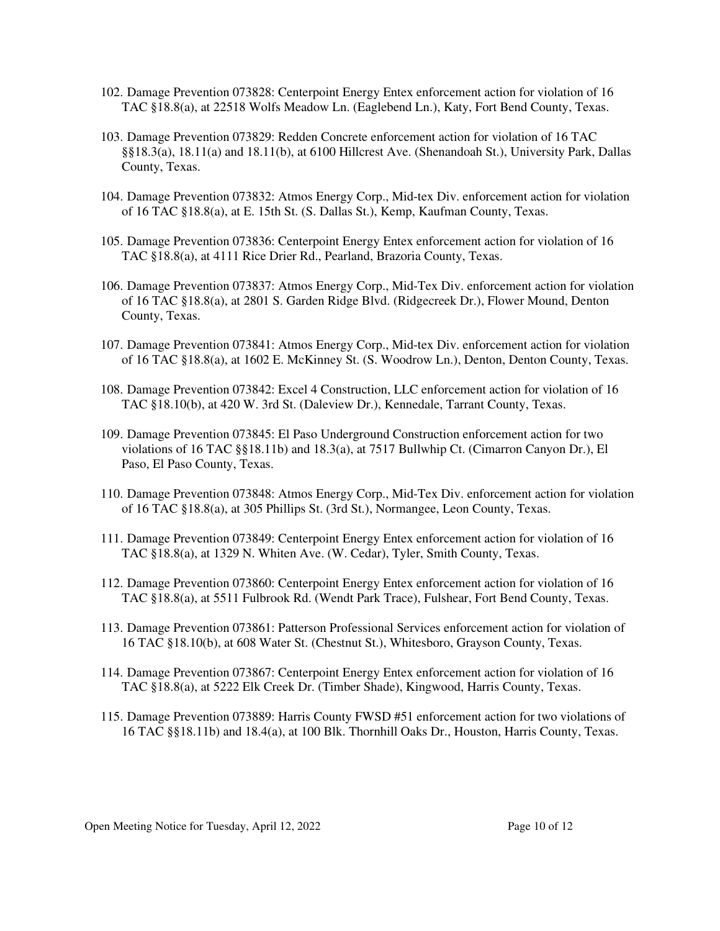- 102. Damage Prevention 073828: Centerpoint Energy Entex enforcement action for violation of 16 TAC §18.8(a), at 22518 Wolfs Meadow Ln. (Eaglebend Ln.), Katy, Fort Bend County, Texas.
- 103. Damage Prevention 073829: Redden Concrete enforcement action for violation of 16 TAC §§18.3(a), 18.11(a) and 18.11(b), at 6100 Hillcrest Ave. (Shenandoah St.), University Park, Dallas County, Texas.
- 104. Damage Prevention 073832: Atmos Energy Corp., Mid-tex Div. enforcement action for violation of 16 TAC §18.8(a), at E. 15th St. (S. Dallas St.), Kemp, Kaufman County, Texas.
- 105. Damage Prevention 073836: Centerpoint Energy Entex enforcement action for violation of 16 TAC §18.8(a), at 4111 Rice Drier Rd., Pearland, Brazoria County, Texas.
- 106. Damage Prevention 073837: Atmos Energy Corp., Mid-Tex Div. enforcement action for violation of 16 TAC §18.8(a), at 2801 S. Garden Ridge Blvd. (Ridgecreek Dr.), Flower Mound, Denton County, Texas.
- 107. Damage Prevention 073841: Atmos Energy Corp., Mid-tex Div. enforcement action for violation of 16 TAC §18.8(a), at 1602 E. McKinney St. (S. Woodrow Ln.), Denton, Denton County, Texas.
- 108. Damage Prevention 073842: Excel 4 Construction, LLC enforcement action for violation of 16 TAC §18.10(b), at 420 W. 3rd St. (Daleview Dr.), Kennedale, Tarrant County, Texas.
- 109. Damage Prevention 073845: El Paso Underground Construction enforcement action for two violations of 16 TAC §§18.11b) and 18.3(a), at 7517 Bullwhip Ct. (Cimarron Canyon Dr.), El Paso, El Paso County, Texas.
- 110. Damage Prevention 073848: Atmos Energy Corp., Mid-Tex Div. enforcement action for violation of 16 TAC §18.8(a), at 305 Phillips St. (3rd St.), Normangee, Leon County, Texas.
- 111. Damage Prevention 073849: Centerpoint Energy Entex enforcement action for violation of 16 TAC §18.8(a), at 1329 N. Whiten Ave. (W. Cedar), Tyler, Smith County, Texas.
- 112. Damage Prevention 073860: Centerpoint Energy Entex enforcement action for violation of 16 TAC §18.8(a), at 5511 Fulbrook Rd. (Wendt Park Trace), Fulshear, Fort Bend County, Texas.
- 113. Damage Prevention 073861: Patterson Professional Services enforcement action for violation of 16 TAC §18.10(b), at 608 Water St. (Chestnut St.), Whitesboro, Grayson County, Texas.
- 114. Damage Prevention 073867: Centerpoint Energy Entex enforcement action for violation of 16 TAC §18.8(a), at 5222 Elk Creek Dr. (Timber Shade), Kingwood, Harris County, Texas.
- 115. Damage Prevention 073889: Harris County FWSD #51 enforcement action for two violations of 16 TAC §§18.11b) and 18.4(a), at 100 Blk. Thornhill Oaks Dr., Houston, Harris County, Texas.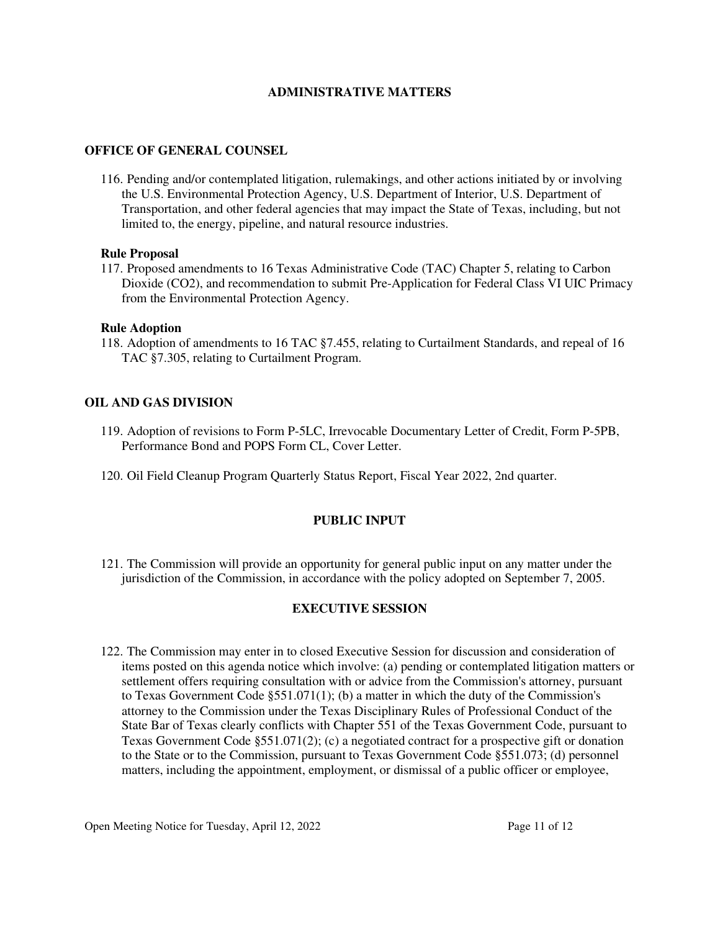### **ADMINISTRATIVE MATTERS**

### **OFFICE OF GENERAL COUNSEL**

116. Pending and/or contemplated litigation, rulemakings, and other actions initiated by or involving the U.S. Environmental Protection Agency, U.S. Department of Interior, U.S. Department of Transportation, and other federal agencies that may impact the State of Texas, including, but not limited to, the energy, pipeline, and natural resource industries.

#### **Rule Proposal**

117. Proposed amendments to 16 Texas Administrative Code (TAC) Chapter 5, relating to Carbon Dioxide (CO2), and recommendation to submit Pre-Application for Federal Class VI UIC Primacy from the Environmental Protection Agency.

### **Rule Adoption**

118. Adoption of amendments to 16 TAC §7.455, relating to Curtailment Standards, and repeal of 16 TAC §7.305, relating to Curtailment Program.

### **OIL AND GAS DIVISION**

- 119. Adoption of revisions to Form P-5LC, Irrevocable Documentary Letter of Credit, Form P-5PB, Performance Bond and POPS Form CL, Cover Letter.
- 120. Oil Field Cleanup Program Quarterly Status Report, Fiscal Year 2022, 2nd quarter.

## **PUBLIC INPUT**

121. The Commission will provide an opportunity for general public input on any matter under the jurisdiction of the Commission, in accordance with the policy adopted on September 7, 2005.

## **EXECUTIVE SESSION**

122. The Commission may enter in to closed Executive Session for discussion and consideration of items posted on this agenda notice which involve: (a) pending or contemplated litigation matters or settlement offers requiring consultation with or advice from the Commission's attorney, pursuant to Texas Government Code §551.071(1); (b) a matter in which the duty of the Commission's attorney to the Commission under the Texas Disciplinary Rules of Professional Conduct of the State Bar of Texas clearly conflicts with Chapter 551 of the Texas Government Code, pursuant to Texas Government Code §551.071(2); (c) a negotiated contract for a prospective gift or donation to the State or to the Commission, pursuant to Texas Government Code §551.073; (d) personnel matters, including the appointment, employment, or dismissal of a public officer or employee,